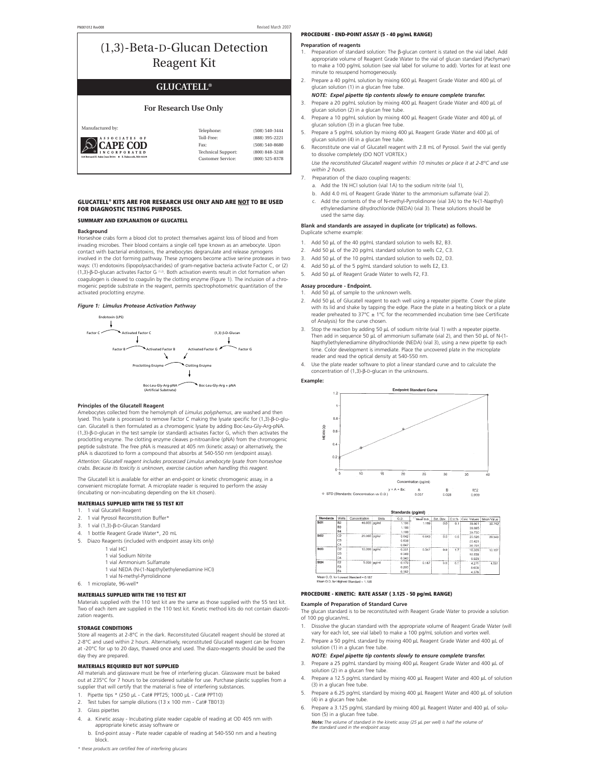# (1,3)-Beta-D-Glucan Detection Reagent Kit

# **GLUCATELL®**

# **For Research Use Only**

| Manufactured by:                                        | Telephone:                                            | (508) 540-3444                       |
|---------------------------------------------------------|-------------------------------------------------------|--------------------------------------|
| ES OF<br>CAPE COD                                       | Toll-Free:<br>Fax:                                    | (888) 395-2221<br>$(508) 540 - 8680$ |
| 124 Bernard E. Saint Jean Drive   E. Falmouth, MA 02536 | <b>Technical Support:</b><br><b>Customer Service:</b> | (800) 848-3248<br>(800) 525-8378     |
|                                                         |                                                       |                                      |

# **GLUCATELL® KITS ARE FOR RESEARCH USE ONLY AND ARE NOT TO BE USED FOR DIAGNOSTIC TESTING PURPOSES.**

#### **SUMMARY AND EXPLANATION OF GLUCATELL**

#### **Background**

Horseshoe crabs form a blood clot to protect themselves against loss of blood and from invading microbes. Their blood contains a single cell type known as an amebocyte. Upon contact with bacterial endotoxins, the amebocytes degranulate and release zymogens involved in the clot forming pathway. These zymogens become active serine proteases in two ways: (1) endotoxins (lipopolysaccharides) of gram-negative bacteria activate Factor C, or (2) (1,3)-β-D-glucan activates Factor G (1,2). Both activation events result in clot formation when coagulogen is cleaved to coagulin by the clotting enzyme (Figure 1). The inclusion of a chro-mogenic peptide substrate in the reagent, permits spectrophotometric quantitation of the activated proclotting enzyme.

### *Figure 1: Limulus Protease Activation Pathway*



#### **Principles of the Glucatell Reagent**

Amebocytes collected from the hemolymph of *Limulus polyphemus*, are washed and then lysed. This lysate is processed to remove Factor C making the lysate specific for (1,3)-β-D-glucan. Glucatell is then formulated as a chromogenic lysate by adding Boc-Leu-Gly-Arg-pNA. (1,3)-β-D-glucan in the test sample (or standard) activates Factor G, which then activates the proclotting enzyme. The clotting enzyme cleaves p-nitroaniline (pNA) from the chromogenic peptide substrate. The free pNA is measured at 405 nm (kinetic assay) or alternatively, the pNA is diazotized to form a compound that absorbs at 540-550 nm (endpoint assay). *Attention: Glucatell reagent includes processed Limulus amebocyte lysate from horseshoe crabs. Because its toxicity is unknown, exercise caution when handling this reagent.*

The Glucatell kit is available for either an end-point or kinetic chromogenic assay, in a convenient microplate format. A microplate reader is required to perform the assay (incubating or non-incubating depending on the kit chosen).

### **MATERIALS SUPPLIED WITH THE 55 TEST KIT**

- 1. 1 vial Glucatell Reagent
- 2. 1 vial Pyrosol Reconstitution Buffer<br>3. 1 vial (1.3)-B-D-Glucan Standard
- 3. 1 vial (1,3)-β-D-Glucan Standard
- 4. 1 bottle Reagent Grade Water\*, 20 mL<br>5. Diazo Reagents (included with endnoin
	- 5. Diazo Reagents (included with endpoint assay kits only)
		- 1 vial HCl
		- 1 vial Sodium Nitrite
		- 1 vial Ammonium Sulfamate
		- 1 vial NEDA (N-(1-Napthyl)ethylenediamine HCI)
		- 1 vial N-methyl-Pyrrolidinone
- 6. 1 microplate, 96-well\*
	-

# **MATERIALS SUPPLIED WITH THE 110 TEST KIT**

Materials supplied with the 110 test kit are the same as those supplied with the 55 test kit. Two of each item are supplied in the 110 test kit. Kinetic method kits do not contain diazotization reagents.

#### **STORAGE CONDITIONS**

Store all reagents at 2-8°C in the dark. Reconstituted Glucatell reagent should be stored at 2-8°C and used within 2 hours. Alternatively, reconstituted Glucatell reagent can be frozen at -20°C for up to 20 days, thawed once and used. The diazo-reagents should be used the day they are prepared

#### **MATERIALS REQUIRED BUT NOT SUPPLIED**

All materials and glassware must be free of interfering glucan. Glassware must be baked out at 235°C for 7 hours to be considered suitable for use. Purchase plastic supplies from a supplier that will certify that the material is free of interfering substances.

- 1. Pipette tips \* (250 μL Cat# PPT25; 1000 μL Cat# PPT10)
- 2. Test tubes for sample dilutions (13 x 100 mm Cat# TB013)
- 3. Glass pipettes
- a. Kinetic assay Incubating plate reader capable of reading at OD 405 nm with appropriate kinetic assay software or
- b. End-point assay Plate reader capable of reading at 540-550 nm and a heating block.
- *\* these products are certified free of interfering glucans*

### **PROCEDURE - END-POINT ASSAY (5 - 40 pg/mL RANGE)**

#### **Preparation of reagents**

- 1. Preparation of standard solution: The β-glucan content is stated on the vial label. Add appropriate volume of Reagent Grade Water to the vial of glucan standard (*Pachyman*) to make a 100 pg/mL solution (see vial label for volume to add). Vortex for at least one minute to resuspend homogeneously.
- 2. Prepare a 40 pg/mL solution by mixing 600 μL Reagent Grade Water and 400 μL of glucan solution (1) in a glucan free tube.
- *NOTE: Expel pipette tip contents slowly to ensure complete transfer.* 3. Prepare a 20 pg/mL solution by mixing 400 μL Reagent Grade Water and 400 μL of
- glucan solution (2) in a glucan free tube. 4. Prepare a 10 pg/mL solution by mixing 400 μL Reagent Grade Water and 400 μL of
- glucan solution (3) in a glucan free tube. 5. Prepare a 5 pg/mL solution by mixing 400 μL Reagent Grade Water and 400 μL of glucan solution (4) in a glucan free tube.
- 6. Reconstitute one vial of Glucatell reagent with 2.8 mL of Pyrosol. Swirl the vial gently to dissolve completely (DO NOT VORTEX.)

*Use the reconstituted Glucatell reagent within 10 minutes or place it at 2-8°C and use within 2 hours.*

- Preparation of the diazo coupling reagents:
- a. Add the 1N HCl solution (vial 1A) to the sodium nitrite (vial 1),
- b. Add 4.0 mL of Reagent Grade Water to the ammonium sulfamate (vial 2).
- c. Add the contents of the of N-methyl-Pyrrolidinone (vial 3A) to the N-(1-Napthyl) ethylenediamine dihydrochloride (NEDA) (vial 3). These solutions should be used the same day.

# **Blank and standards are assayed in duplicate (or triplicate) as follows.**  Duplicate scheme example:

- 1. Add 50 μL of the 40 pg/mL standard solution to wells B2, B3.
- 2. Add 50 μL of the 20 pg/mL standard solution to wells C2, C3.
- 3. Add 50 μL of the 10 pg/mL standard solution to wells D2, D3.
- 4. Add 50 μL of the 5 pg/mL standard solution to wells E2, E3.
- 5. Add 50 μL of Reagent Grade Water to wells F2, F3.

# **Assay procedure - Endpoint.**

## 1. Add 50 μL of sample to the unknown wells.

- 2. Add 50 μL of Glucatell reagent to each well using a repeater pipette. Cover the plate with its lid and shake by tapping the edge. Place the plate in a heating block or a plate reader preheated to 37°C  $\pm$  1°C for the recommended incubation time (see Certificate of Analysis) for the curve chosen.
- 3. Stop the reaction by adding 50 μL of sodium nitrite (vial 1) with a repeater pipette. Then add in sequence 50 μL of ammonium sulfamate (vial 2), and then 50 μL of N-(1- Napthyl)ethylenediamine dihydrochloride (NEDA) (vial 3), using a new pipette tip each time. Color development is immediate. Place the uncovered plate in the microplate reader and read the optical density at 540-550 nm.
- Use the plate reader software to plot a linear standard curve and to calculate the concentration of (1,3)-β-D-glucan in the unknowns.

**Example:**



Standards (pg/ml)

| <b>Standards</b> | Wells                                     | Concentration | Units | O.D.   | Mean O.D. |     |     | Std. Dev. C.V.% Calc. Values   Mean Value |        |
|------------------|-------------------------------------------|---------------|-------|--------|-----------|-----|-----|-------------------------------------------|--------|
| St01             | <b>B2</b>                                 | 40.000 pg/ml  |       | 1.191  | 1.189     | 0.0 | 0.1 | 39,8017                                   | 39.742 |
|                  | B <sub>3</sub>                            |               |       | 1.188  |           |     |     | 39.695                                    |        |
|                  | <b>B4</b>                                 |               |       | 1.189  |           |     |     | 39,730                                    |        |
| <b>St02</b>      | C2                                        | 20,000 lpg/ml |       | 0.642  | 0.643     | 0.0 | 0,6 | 20.526                                    | 20.549 |
|                  | C3                                        |               |       | 0.639  |           |     |     | 20.421                                    |        |
|                  | C4                                        |               |       | 0.647  |           |     |     | 20.701                                    |        |
| St03             | 02                                        | 10.000 pg/mi  |       | 0.351  | 0.347     | 0.0 | 1.7 | 10.309                                    | 10.157 |
|                  | D <sub>3</sub>                            |               |       | 0.349  |           |     |     | 10.239                                    |        |
|                  | 04                                        |               |       | 0.340  |           |     |     | 9.923                                     |        |
| St04             | E <sub>2</sub>                            | 5.000 pg/ml   |       | 0.1791 | 0.187     | 0.0 | 6.1 | 4.271                                     | 4.551  |
|                  | E3                                        |               |       | 0.200  |           |     |     | 5.008                                     |        |
|                  | E4                                        |               |       | 0.182  |           |     |     | 4.376                                     |        |
|                  | Mono O. D. Just accept President - A 469. |               |       |        |           |     |     |                                           |        |

Mean O.D. for Highest Standard = 0.161

# **PROCEDURE - KINETIC: RATE ASSAY ( 3.125 - 50 pg/mL RANGE)**

**Example of Preparation of Standard Curve**

- The glucan standard is to be reconstituted with Reagent Grade Water to provide a solution of 100 pg glucan/mL.
- 1. Dissolve the glucan standard with the appropriate volume of Reagent Grade Water (will vary for each lot, see vial label) to make a 100 pg/mL solution and vortex well.
- 2. Prepare a 50 pg/mL standard by mixing 400 μL Reagent Grade Water and 400 μL of solution (1) in a glucan free tube

### *NOTE: Expel pipette tip contents slowly to ensure complete transfer.* 3. Prepare a 25 pg/mL standard by mixing 400 μL Reagent Grade Water and 400 μL of

- solution (2) in a glucan free tube
- 4. Prepare a 12.5 pg/mL standard by mixing 400 μL Reagent Water and 400 μL of solution (3) in a glucan free tube.
- 5. Prepare a 6.25 pg/mL standard by mixing 400 μL Reagent Water and 400 μL of solution (4) in a glucan free tube
- Prepare a 3.125 pg/mL standard by mixing 400 μL Reagent Water and 400 μL of solution (5) in a glucan free tube.

*Note: The volume of standard in the kinetic assay (25* μ*L per well) is half the volume of the standard used in the endpoint assay.*